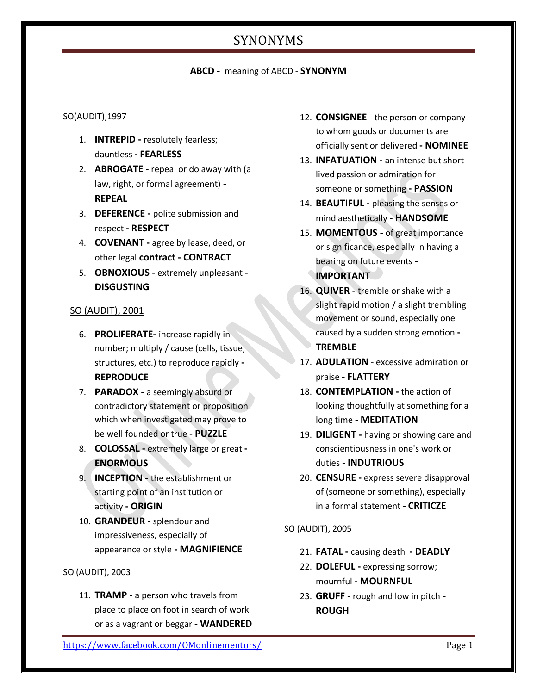#### **ABCD -** meaning of ABCD - **SYNONYM**

#### SO(AUDIT),1997

- 1. **INTREPID -** resolutely fearless; dauntless **- FEARLESS**
- 2. **ABROGATE -** repeal or do away with (a law, right, or formal agreement) **- REPEAL**
- 3. **DEFERENCE -** polite submission and respect **- RESPECT**
- 4. **COVENANT -** agree by lease, deed, or other legal **contract - CONTRACT**
- 5. **OBNOXIOUS -** extremely unpleasant **- DISGUSTING**

#### SO (AUDIT), 2001

- 6. **PROLIFERATE-** increase rapidly in number; multiply / cause (cells, tissue, structures, etc.) to reproduce rapidly **- REPRODUCE**
- 7. **PARADOX -** a seemingly absurd or contradictory statement or proposition which when investigated may prove to be well founded or true **- PUZZLE**
- 8. **COLOSSAL -** extremely large or great **- ENORMOUS**
- 9. **INCEPTION -** the establishment or starting point of an institution or activity **- ORIGIN**
- 10. **GRANDEUR -** splendour and impressiveness, especially of appearance or style **- MAGNIFIENCE**

#### SO (AUDIT), 2003

11. **TRAMP -** a person who travels from place to place on foot in search of work or as a vagrant or beggar **- WANDERED**

- 12. **CONSIGNEE**  the person or company to whom goods or documents are officially sent or delivered **- NOMINEE**
- 13. **INFATUATION -** an intense but shortlived passion or admiration for someone or something **- PASSION**
- 14. **BEAUTIFUL -** pleasing the senses or mind aesthetically **- HANDSOME**
- 15. **MOMENTOUS -** of great importance or significance, especially in having a bearing on future events **- IMPORTANT**
- 16. **QUIVER -** tremble or shake with a slight rapid motion / a slight trembling movement or sound, especially one caused by a sudden strong emotion **- TREMBLE**
- 17. **ADULATION**  excessive admiration or praise **- FLATTERY**
- 18. **CONTEMPLATION -** the action of looking thoughtfully at something for a long time **- MEDITATION**
- 19. **DILIGENT -** having or showing care and conscientiousness in one's work or duties **- INDUTRIOUS**
- 20. **CENSURE -** express severe disapproval of (someone or something), especially in a formal statement **- CRITICZE**

#### SO (AUDIT), 2005

- 21. **FATAL -** causing death **- DEADLY**
- 22. **DOLEFUL -** expressing sorrow; mournful **- MOURNFUL**
- 23. **GRUFF -** rough and low in pitch **- ROUGH**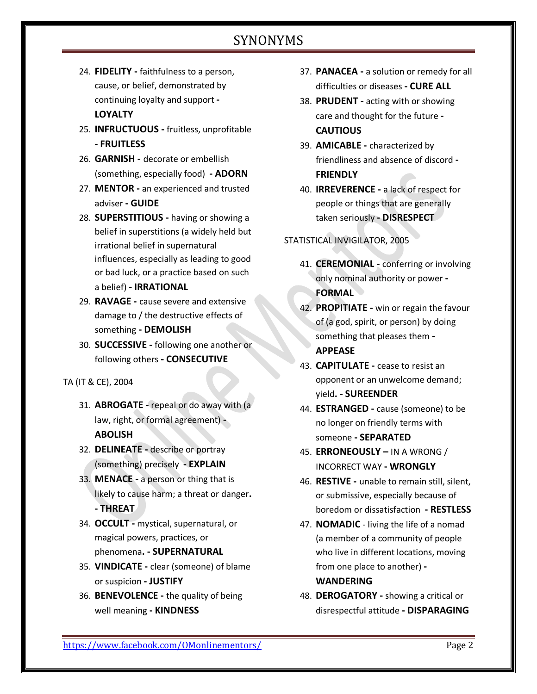- 24. **FIDELITY -** faithfulness to a person, cause, or belief, demonstrated by continuing loyalty and support **- LOYALTY**
- 25. **INFRUCTUOUS -** fruitless, unprofitable **- FRUITLESS**
- 26. **GARNISH -** decorate or embellish (something, especially food) **- ADORN**
- 27. **MENTOR -** an experienced and trusted adviser **- GUIDE**
- 28. **SUPERSTITIOUS -** having or showing a belief in superstitions (a widely held but irrational belief in supernatural influences, especially as leading to good or bad luck, or a practice based on such a belief) **- IRRATIONAL**
- 29. **RAVAGE -** cause severe and extensive damage to / the destructive effects of something **- DEMOLISH**
- 30. **SUCCESSIVE -** following one another or following others **- CONSECUTIVE**

TA (IT & CE), 2004

- 31. **ABROGATE -** repeal or do away with (a law, right, or formal agreement) **- ABOLISH**
- 32. **DELINEATE -** describe or portray (something) precisely **- EXPLAIN**
- 33. **MENACE -** a person or thing that is likely to cause harm; a threat or danger**. - THREAT**
- 34. **OCCULT -** mystical, supernatural, or magical powers, practices, or phenomena**. - SUPERNATURAL**
- 35. **VINDICATE -** clear (someone) of blame or suspicion **- JUSTIFY**
- 36. **BENEVOLENCE -** the quality of being well meaning **- KINDNESS**
- 37. **PANACEA -** a solution or remedy for all difficulties or diseases **- CURE ALL**
- 38. **PRUDENT -** acting with or showing care and thought for the future **- CAUTIOUS**
- 39. **AMICABLE -** characterized by friendliness and absence of discord **- FRIENDLY**
- 40. **IRREVERENCE -** a lack of respect for people or things that are generally taken seriously **- DISRESPECT**

## STATISTICAL INVIGILATOR, 2005

- 41. **CEREMONIAL -** conferring or involving only nominal authority or power **- FORMAL**
- 42. **PROPITIATE -** win or regain the favour of (a god, spirit, or person) by doing something that pleases them **- APPEASE**
- 43. **CAPITULATE -** cease to resist an opponent or an unwelcome demand; yield**. - SUREENDER**
- 44. **ESTRANGED -** cause (someone) to be no longer on friendly terms with someone **- SEPARATED**
- 45. **ERRONEOUSLY –** IN A WRONG / INCORRECT WAY **- WRONGLY**
- 46. **RESTIVE -** unable to remain still, silent, or submissive, especially because of boredom or dissatisfaction **- RESTLESS**
- 47. **NOMADIC**  living the life of a nomad (a member of a community of people who live in different locations, moving from one place to another) **- WANDERING**
- 48. **DEROGATORY -** showing a critical or disrespectful attitude **- DISPARAGING**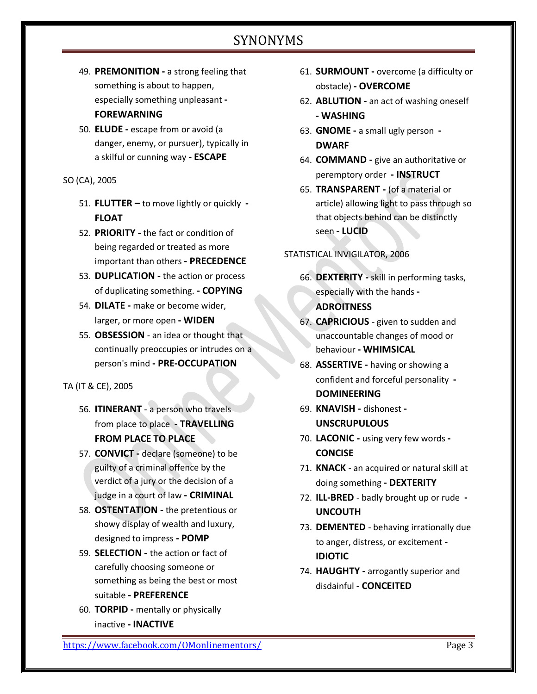- 49. **PREMONITION -** a strong feeling that something is about to happen, especially something unpleasant **- FOREWARNING**
- 50. **ELUDE -** escape from or avoid (a danger, enemy, or pursuer), typically in a skilful or cunning way **- ESCAPE**

#### SO (CA), 2005

- 51. **FLUTTER –** to move lightly or quickly **- FLOAT**
- 52. **PRIORITY -** the fact or condition of being regarded or treated as more important than others **- PRECEDENCE**
- 53. **DUPLICATION -** the action or process of duplicating something. **- COPYING**
- 54. **DILATE -** make or become wider, larger, or more open **- WIDEN**
- 55. **OBSESSION**  an idea or thought that continually preoccupies or intrudes on a person's mind **- PRE-OCCUPATION**

TA (IT & CE), 2005

- 56. **ITINERANT**  a person who travels from place to place **- TRAVELLING FROM PLACE TO PLACE**
- 57. **CONVICT -** declare (someone) to be guilty of a criminal offence by the verdict of a jury or the decision of a judge in a court of law **- CRIMINAL**
- 58. **OSTENTATION -** the pretentious or showy display of wealth and luxury, designed to impress **- POMP**
- 59. **SELECTION -** the action or fact of carefully choosing someone or something as being the best or most suitable **- PREFERENCE**
- 60. **TORPID -** mentally or physically inactive **- INACTIVE**
- 61. **SURMOUNT -** overcome (a difficulty or obstacle) **- OVERCOME**
- 62. **ABLUTION -** an act of washing oneself **- WASHING**
- 63. **GNOME -** a small ugly person **- DWARF**
- 64. **COMMAND -** give an authoritative or peremptory order **- INSTRUCT**
- 65. **TRANSPARENT -** (of a material or article) allowing light to pass through so that objects behind can be distinctly seen **- LUCID**

### STATISTICAL INVIGILATOR, 2006

- 66. **DEXTERITY -** skill in performing tasks, especially with the hands **- ADROITNESS**
- 67. **CAPRICIOUS**  given to sudden and unaccountable changes of mood or behaviour **- WHIMSICAL**
- 68. **ASSERTIVE -** having or showing a confident and forceful personality **- DOMINEERING**
- 69. **KNAVISH -** dishonest **- UNSCRUPULOUS**
- 70. **LACONIC -** using very few words **- CONCISE**
- 71. **KNACK**  an acquired or natural skill at doing something **- DEXTERITY**
- 72. **ILL-BRED**  badly brought up or rude **- UNCOUTH**
- 73. **DEMENTED**  behaving irrationally due to anger, distress, or excitement **- IDIOTIC**
- 74. **HAUGHTY -** arrogantly superior and disdainful **- CONCEITED**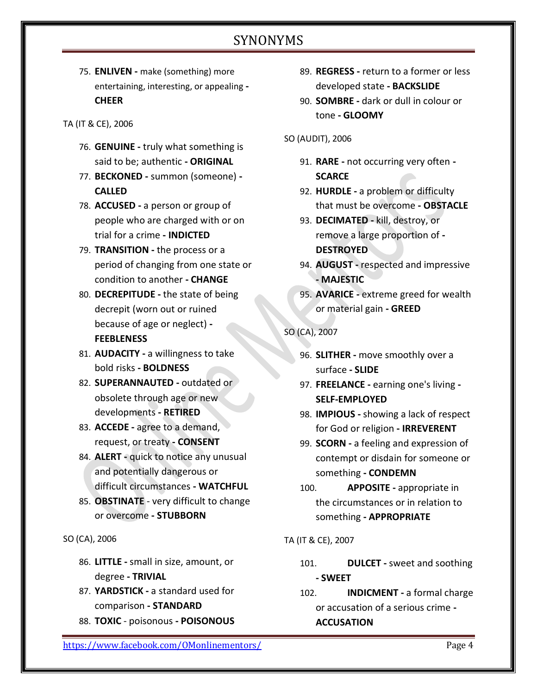- 75. **ENLIVEN -** make (something) more entertaining, interesting, or appealing **- CHEER**
- TA (IT & CE), 2006
	- 76. **GENUINE -** truly what something is said to be; authentic **- ORIGINAL**
	- 77. **BECKONED -** summon (someone) **- CALLED**
	- 78. **ACCUSED -** a person or group of people who are charged with or on trial for a crime **- INDICTED**
	- 79. **TRANSITION -** the process or a period of changing from one state or condition to another **- CHANGE**
	- 80. **DECREPITUDE -** the state of being decrepit (worn out or ruined because of age or neglect) **- FEEBLENESS**
	- 81. **AUDACITY -** a willingness to take bold risks **- BOLDNESS**
	- 82. **SUPERANNAUTED -** outdated or obsolete through age or new developments **- RETIRED**
	- 83. **ACCEDE -** agree to a demand, request, or treaty **- CONSENT**
	- 84. **ALERT -** quick to notice any unusual and potentially dangerous or difficult circumstances **- WATCHFUL**
	- 85. **OBSTINATE**  very difficult to change or overcome **- STUBBORN**
- SO (CA), 2006
	- 86. **LITTLE -** small in size, amount, or degree **- TRIVIAL**
	- 87. **YARDSTICK -** a standard used for comparison **- STANDARD**
	- 88. **TOXIC**  poisonous **- POISONOUS**
- https://www.facebook.com/0Monlinementors/ Page 4
- 89. **REGRESS -** return to a former or less developed state **- BACKSLIDE**
- 90. **SOMBRE -** dark or dull in colour or tone **- GLOOMY**

#### SO (AUDIT), 2006

- 91. **RARE -** not occurring very often **- SCARCE**
- 92. **HURDLE -** a problem or difficulty that must be overcome **- OBSTACLE**
- 93. **DECIMATED -** kill, destroy, or remove a large proportion of **- DESTROYED**
- 94. **AUGUST -** respected and impressive **- MAJESTIC**
- 95. **AVARICE -** extreme greed for wealth or material gain **- GREED**
- SO (CA), 2007
	- 96. **SLITHER -** move smoothly over a surface **- SLIDE**
	- 97. **FREELANCE -** earning one's living **- SELF-EMPLOYED**
	- 98. **IMPIOUS -** showing a lack of respect for God or religion **- IRREVERENT**
	- 99. **SCORN -** a feeling and expression of contempt or disdain for someone or something **- CONDEMN**
	- 100. **APPOSITE -** appropriate in the circumstances or in relation to something **- APPROPRIATE**

TA (IT & CE), 2007

- 101. **DULCET -** sweet and soothing **- SWEET**
- 102. **INDICMENT -** a formal charge or accusation of a serious crime **- ACCUSATION**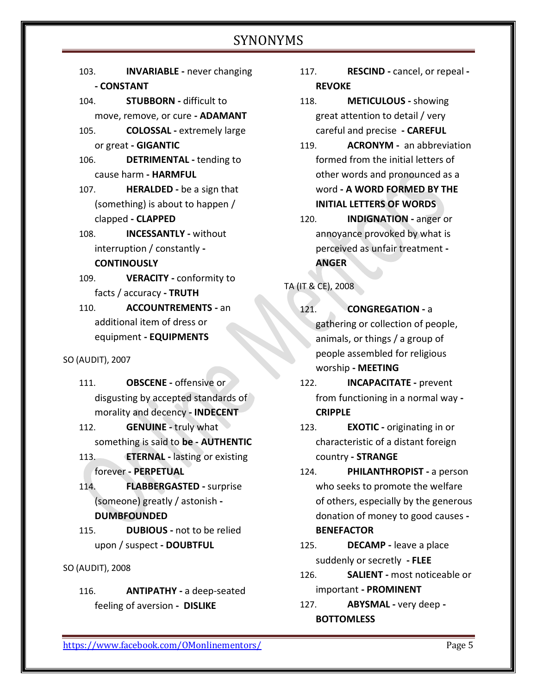- 103. **INVARIABLE -** never changing **- CONSTANT**
- 104. **STUBBORN -** difficult to move, remove, or cure **- ADAMANT**
- 105. **COLOSSAL -** extremely large or great **- GIGANTIC**
- 106. **DETRIMENTAL -** tending to cause harm **- HARMFUL**
- 107. **HERALDED -** be a sign that (something) is about to happen / clapped **- CLAPPED**
- 108. **INCESSANTLY -** without interruption / constantly **- CONTINOUSLY**
- 109. **VERACITY -** conformity to facts / accuracy **- TRUTH**
- 110. **ACCOUNTREMENTS -** an additional item of dress or equipment **- EQUIPMENTS**
- SO (AUDIT), 2007
	- 111. **OBSCENE -** offensive or disgusting by accepted standards of morality and decency **- INDECENT**
	- 112. **GENUINE -** truly what something is said to **be - AUTHENTIC**
	- 113. **ETERNAL -** lasting or existing forever **- PERPETUAL**
	- 114. **FLABBERGASTED -** surprise (someone) greatly / astonish **- DUMBFOUNDED**
	- 115. **DUBIOUS -** not to be relied upon / suspect **- DOUBTFUL**
- SO (AUDIT), 2008
	- 116. **ANTIPATHY -** a deep-seated feeling of aversion **- DISLIKE**
- 117. **RESCIND -** cancel, or repeal **- REVOKE**
- 118. **METICULOUS -** showing great attention to detail / very careful and precise **- CAREFUL**
- 119. **ACRONYM -** an abbreviation formed from the initial letters of other words and pronounced as a word **- A WORD FORMED BY THE INITIAL LETTERS OF WORDS**
- 120. **INDIGNATION -** anger or annoyance provoked by what is perceived as unfair treatment **- ANGER**
- TA (IT & CE), 2008
	- 121. **CONGREGATION -** a gathering or collection of people, animals, or things / a group of people assembled for religious worship **- MEETING**
	- 122. **INCAPACITATE -** prevent from functioning in a normal way **- CRIPPLE**
	- 123. **EXOTIC -** originating in or characteristic of a distant foreign country **- STRANGE**
	- 124. **PHILANTHROPIST -** a person who seeks to promote the welfare of others, especially by the generous donation of money to good causes **- BENEFACTOR**
	- 125. **DECAMP -** leave a place suddenly or secretly **- FLEE**
	- 126. **SALIENT -** most noticeable or important **- PROMINENT**
	- 127. **ABYSMAL -** very deep **- BOTTOMLESS**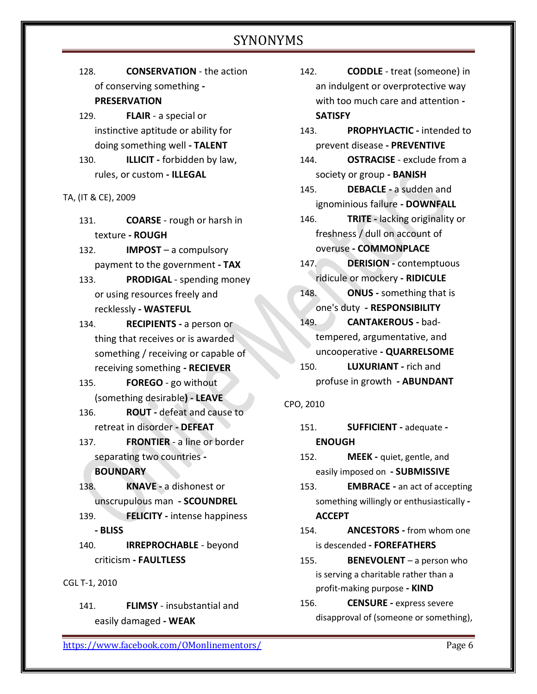128. **CONSERVATION** - the action of conserving something **- PRESERVATION**

# 129. **FLAIR** - a special or instinctive aptitude or ability for doing something well **- TALENT**

130. **ILLICIT -** forbidden by law, rules, or custom **- ILLEGAL**

### TA, (IT & CE), 2009

- 131. **COARSE**  rough or harsh in texture **- ROUGH**
- 132. **IMPOST**  a compulsory payment to the government **- TAX**
- 133. **PRODIGAL**  spending money or using resources freely and recklessly **- WASTEFUL**
- 134. **RECIPIENTS -** a person or thing that receives or is awarded something / receiving or capable of receiving something **- RECIEVER**
- 135. **FOREGO**  go without (something desirable**) - LEAVE**
- 136. **ROUT -** defeat and cause to retreat in disorder **- DEFEAT**
- 137. **FRONTIER**  a line or border separating two countries **-**

### **BOUNDARY**

- 138. **KNAVE -** a dishonest or unscrupulous man **- SCOUNDREL**
- 139. **FELICITY -** intense happiness **- BLISS**
- 140. **IRREPROCHABLE**  beyond criticism **- FAULTLESS**
- CGL T-1, 2010
	- 141. **FLIMSY**  insubstantial and easily damaged **- WEAK**
- 142. **CODDLE**  treat (someone) in an indulgent or overprotective way with too much care and attention **- SATISFY**
- 143. **PROPHYLACTIC -** intended to prevent disease **- PREVENTIVE**
- 144. **OSTRACISE**  exclude from a society or group **- BANISH**
- 145. **DEBACLE -** a sudden and ignominious failure **- DOWNFALL**
- 146. **TRITE -** lacking originality or freshness / dull on account of overuse **- COMMONPLACE**
- 147. **DERISION -** contemptuous ridicule or mockery **- RIDICULE**
- 148. **ONUS -** something that is one's duty **- RESPONSIBILITY**
- 149. **CANTAKEROUS -** badtempered, argumentative, and uncooperative **- QUARRELSOME** 150. **LUXURIANT -** rich and
	- profuse in growth **- ABUNDANT**

# CPO, 2010

- 151. **SUFFICIENT -** adequate **- ENOUGH** 152. **MEEK -** quiet, gentle, and
- easily imposed on **- SUBMISSIVE**
- 153. **EMBRACE -** an act of accepting something willingly or enthusiastically **- ACCEPT**
- 154. **ANCESTORS -** from whom one is descended **- FOREFATHERS**
- 155. **BENEVOLENT**  a person who is serving a charitable rather than a profit-making purpose **- KIND**
- 156. **CENSURE -** express severe disapproval of (someone or something),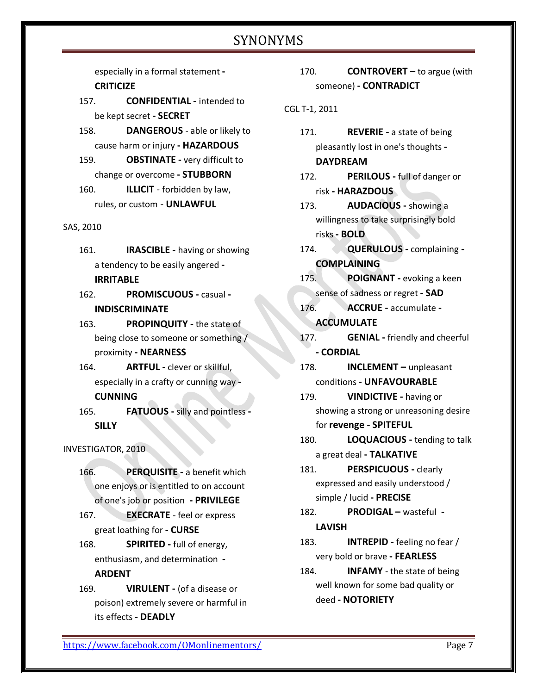especially in a formal statement **- CRITICIZE**

- 157. **CONFIDENTIAL -** intended to be kept secret **- SECRET**
- 158. **DANGEROUS**  able or likely to cause harm or injury **- HAZARDOUS**
- 159. **OBSTINATE -** very difficult to change or overcome **- STUBBORN**
- 160. **ILLICIT** forbidden by law, rules, or custom - **UNLAWFUL**

SAS, 2010

161. **IRASCIBLE -** having or showing a tendency to be easily angered **-**

**IRRITABLE**

- 162. **PROMISCUOUS -** casual **- INDISCRIMINATE**
- 163. **PROPINQUITY -** the state of being close to someone or something / proximity **- NEARNESS**
- 164. **ARTFUL -** clever or skillful, especially in a crafty or cunning way **- CUNNING**
- 165. **FATUOUS -** silly and pointless **- SILLY**

INVESTIGATOR, 2010

- 166. **PERQUISITE -** a benefit which one enjoys or is entitled to on account of one's job or position **- PRIVILEGE**
- 167. **EXECRATE**  feel or express great loathing for **- CURSE**
- 168. **SPIRITED -** full of energy, enthusiasm, and determination **- ARDENT**
- 169. **VIRULENT -** (of a disease or poison) extremely severe or harmful in its effects **- DEADLY**

170. **CONTROVERT –** to argue (with someone) **- CONTRADICT**

CGL T-1, 2011

171. **REVERIE -** a state of being pleasantly lost in one's thoughts **-**

**DAYDREAM**

- 172. **PERILOUS -** full of danger or risk **- HARAZDOUS**
- 173. **AUDACIOUS -** showing a willingness to take surprisingly bold risks **- BOLD**
- 174. **QUERULOUS -** complaining **- COMPLAINING**
- 175. **POIGNANT -** evoking a keen sense of sadness or regret **- SAD**
- 176. **ACCRUE -** accumulate **- ACCUMULATE**
- 177. **GENIAL -** friendly and cheerful **- CORDIAL**
- 178. **INCLEMENT** unpleasant conditions **- UNFAVOURABLE**
- 179. **VINDICTIVE -** having or showing a strong or unreasoning desire for **revenge - SPITEFUL**
- 180. **LOQUACIOUS -** tending to talk a great deal **- TALKATIVE**
- 181. **PERSPICUOUS -** clearly expressed and easily understood / simple / lucid **- PRECISE**
- 182. **PRODIGAL –** wasteful **- LAVISH**
- 183. **INTREPID -** feeling no fear / very bold or brave **- FEARLESS**
- 184. **INFAMY**  the state of being well known for some bad quality or deed **- NOTORIETY**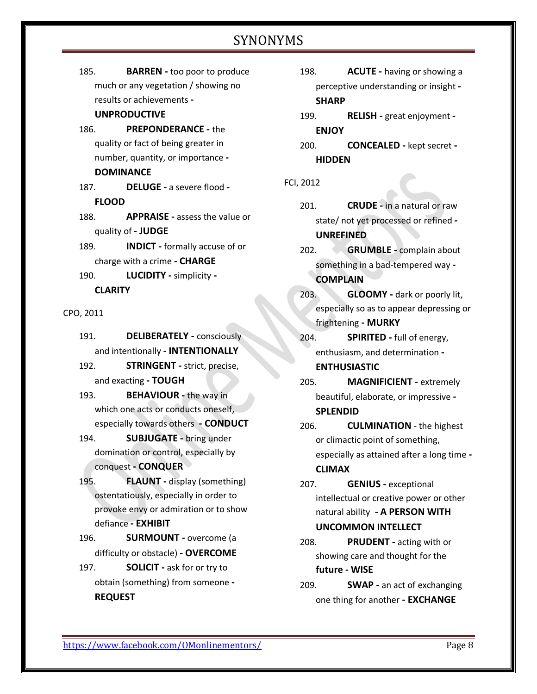- 185. **BARREN -** too poor to produce much or any vegetation / showing no results or achievements **- UNPRODUCTIVE**
- 186. **PREPONDERANCE -** the quality or fact of being greater in number, quantity, or importance **- DOMINANCE**
- 187. **DELUGE -** a severe flood **- FLOOD**
- 188. **APPRAISE -** assess the value or quality of **- JUDGE**
- 189. **INDICT -** formally accuse of or charge with a crime **- CHARGE**
- 190. **LUCIDITY -** simplicity **- CLARITY**

CPO, 2011

- 191. **DELIBERATELY -** consciously and intentionally **- INTENTIONALLY**
- 192. **STRINGENT -** strict, precise, and exacting **- TOUGH**
- 193. **BEHAVIOUR -** the way in which one acts or conducts oneself, especially towards others **- CONDUCT**
- 194. **SUBJUGATE -** bring under domination or control, especially by conquest **- CONQUER**
- 195. **FLAUNT -** display (something) ostentatiously, especially in order to provoke envy or admiration or to show defiance **- EXHIBIT**
- 196. **SURMOUNT -** overcome (a difficulty or obstacle) **- OVERCOME**
- 197. **SOLICIT -** ask for or try to obtain (something) from someone **- REQUEST**
- 198. **ACUTE -** having or showing a perceptive understanding or insight **- SHARP**
- 199. **RELISH -** great enjoyment **- ENJOY**
- 200. **CONCEALED -** kept secret **- HIDDEN**
- FCI, 2012
	- 201. **CRUDE -** in a natural or raw state/ not yet processed or refined **- UNREFINED**
	- 202. **GRUMBLE -** complain about something in a bad-tempered way **- COMPLAIN**
	- 203. **GLOOMY -** dark or poorly lit, especially so as to appear depressing or frightening **- MURKY**
	- 204. **SPIRITED -** full of energy, enthusiasm, and determination **- ENTHUSIASTIC**
	- 205. **MAGNIFICIENT -** extremely beautiful, elaborate, or impressive **-**

### **SPLENDID**

- 206. **CULMINATION**  the highest or climactic point of something, especially as attained after a long time **- CLIMAX**
- 207. **GENIUS -** exceptional intellectual or creative power or other natural ability **- A PERSON WITH**

# **UNCOMMON INTELLECT**

- 208. **PRUDENT -** acting with or showing care and thought for the **future - WISE**
- 209. **SWAP -** an act of exchanging one thing for another **- EXCHANGE**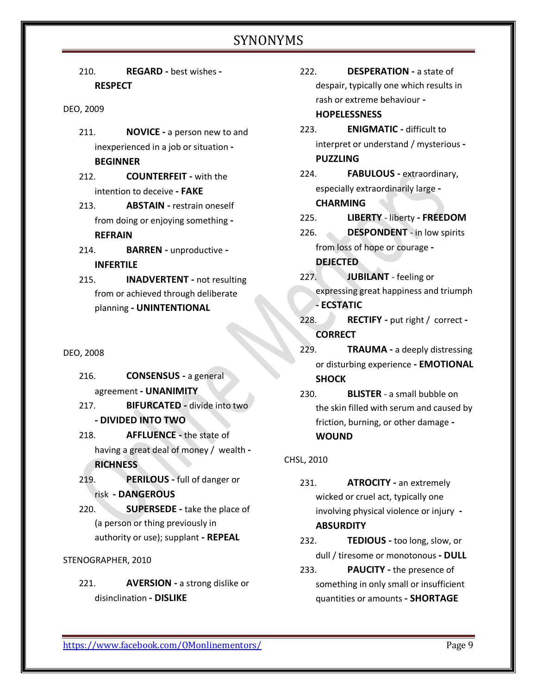210. **REGARD -** best wishes **- RESPECT**

- DEO, 2009
	- 211. **NOVICE -** a person new to and inexperienced in a job or situation **-**

**BEGINNER**

- 212. **COUNTERFEIT -** with the intention to deceive **- FAKE**
- 213. **ABSTAIN -** restrain oneself from doing or enjoying something **- REFRAIN**
- 214. **BARREN -** unproductive **- INFERTILE**
- 215. **INADVERTENT -** not resulting from or achieved through deliberate planning **- UNINTENTIONAL**

DEO, 2008

- 216. **CONSENSUS -** a general agreement **- UNANIMITY**
- 217. **BIFURCATED -** divide into two **- DIVIDED INTO TWO**
- 218. **AFFLUENCE -** the state of having a great deal of money / wealth **- RICHNESS**
- 219. **PERILOUS -** full of danger or risk **- DANGEROUS**
- 220. **SUPERSEDE -** take the place of (a person or thing previously in authority or use); supplant **- REPEAL**

### STENOGRAPHER, 2010

221. **AVERSION -** a strong dislike or disinclination **- DISLIKE**

- 222. **DESPERATION -** a state of despair, typically one which results in rash or extreme behaviour **- HOPELESSNESS**
- 223. **ENIGMATIC -** difficult to interpret or understand / mysterious **- PUZZLING**
- 224. **FABULOUS -** extraordinary, especially extraordinarily large **- CHARMING**
- 225. **LIBERTY**  liberty **- FREEDOM**
- 226. **DESPONDENT**  in low spirits from loss of hope or courage **- DEJECTED**

227. **JUBILANT** - feeling or expressing great happiness and triumph

**- ECSTATIC**

- 228. **RECTIFY -** put right / correct **- CORRECT**
- 229. **TRAUMA -** a deeply distressing or disturbing experience **- EMOTIONAL SHOCK**
- 230. **BLISTER**  a small bubble on the skin filled with serum and caused by friction, burning, or other damage **- WOUND**

CHSL, 2010

- 231. **ATROCITY -** an extremely wicked or cruel act, typically one involving physical violence or injury **- ABSURDITY**
- 232. **TEDIOUS -** too long, slow, or dull / tiresome or monotonous **- DULL**
- 233. **PAUCITY -** the presence of something in only small or insufficient quantities or amounts **- SHORTAGE**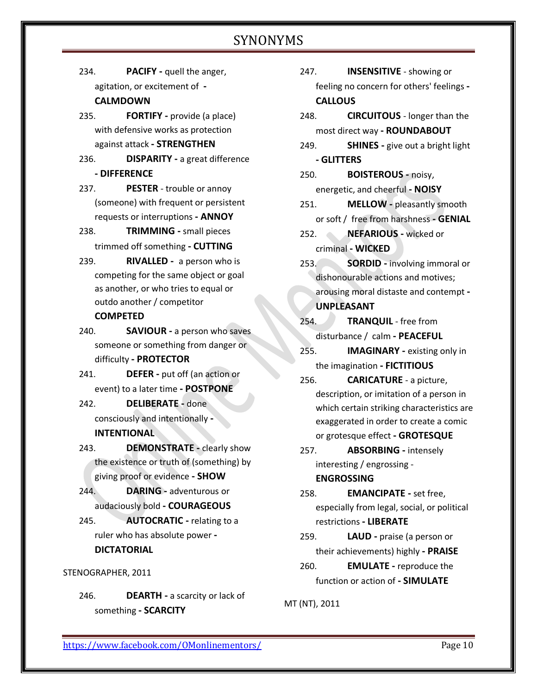- 234. **PACIFY -** quell the anger, agitation, or excitement of **- CALMDOWN**
- 235. **FORTIFY -** provide (a place) with defensive works as protection against attack **- STRENGTHEN**
- 236. **DISPARITY -** a great difference **- DIFFERENCE**
- 237. **PESTER**  trouble or annoy (someone) with frequent or persistent requests or interruptions **- ANNOY**
- 238. **TRIMMING -** small pieces trimmed off something **- CUTTING**
- 239. **RIVALLED -** a person who is competing for the same object or goal as another, or who tries to equal or outdo another / competitor

# **COMPETED**

- 240. **SAVIOUR -** a person who saves someone or something from danger or difficulty **- PROTECTOR**
- 241. **DEFER -** put off (an action or event) to a later time **- POSTPONE**
- 242. **DELIBERATE -** done consciously and intentionally **- INTENTIONAL**
- 243. **DEMONSTRATE -** clearly show the existence or truth of (something) by giving proof or evidence **- SHOW**
- 244. **DARING -** adventurous or audaciously bold **- COURAGEOUS**
- 245. **AUTOCRATIC -** relating to a ruler who has absolute power **-**

# **DICTATORIAL**

- STENOGRAPHER, 2011
	- 246. **DEARTH -** a scarcity or lack of something **- SCARCITY**
- 247. **INSENSITIVE**  showing or feeling no concern for others' feelings **- CALLOUS**
- 248. **CIRCUITOUS**  longer than the most direct way **- ROUNDABOUT**
- 249. **SHINES -** give out a bright light **- GLITTERS**
- 250. **BOISTEROUS -** noisy, energetic, and cheerful **- NOISY**
- 251. **MELLOW -** pleasantly smooth or soft / free from harshness **- GENIAL**
- 252. **NEFARIOUS -** wicked or criminal **- WICKED**
- 253. **SORDID -** involving immoral or dishonourable actions and motives; arousing moral distaste and contempt **- UNPLEASANT**
- 254. **TRANQUIL**  free from disturbance / calm **- PEACEFUL**
- 255. **IMAGINARY -** existing only in the imagination **- FICTITIOUS**
- 256. **CARICATURE**  a picture, description, or imitation of a person in which certain striking characteristics are exaggerated in order to create a comic or grotesque effect **- GROTESQUE**
- 257. **ABSORBING -** intensely interesting / engrossing - **ENGROSSING**
- 258. **EMANCIPATE -** set free, especially from legal, social, or political restrictions **- LIBERATE**
- 259. **LAUD -** praise (a person or their achievements) highly **- PRAISE**
- 260. **EMULATE -** reproduce the function or action of **- SIMULATE**

MT (NT), 2011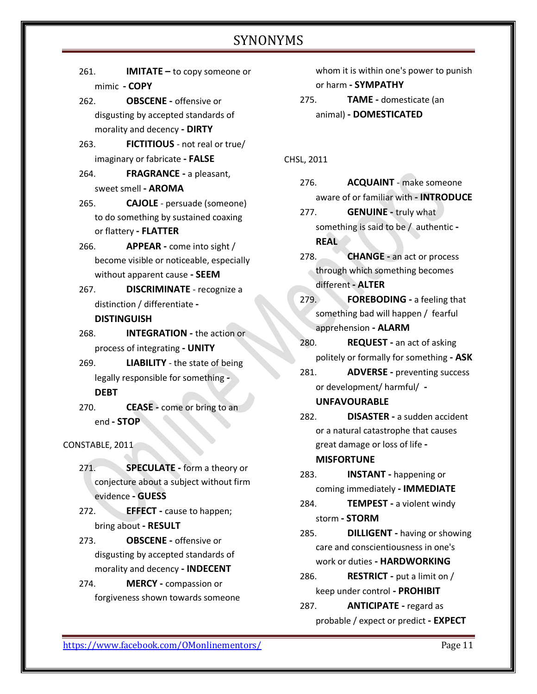261. **IMITATE –** to copy someone or mimic **- COPY**

262. **OBSCENE -** offensive or disgusting by accepted standards of morality and decency **- DIRTY**

263. **FICTITIOUS** - not real or true/ imaginary or fabricate **- FALSE**

264. **FRAGRANCE -** a pleasant, sweet smell **- AROMA**

265. **CAJOLE** - persuade (someone) to do something by sustained coaxing or flattery **- FLATTER**

266. **APPEAR -** come into sight / become visible or noticeable, especially without apparent cause **- SEEM**

267. **DISCRIMINATE** - recognize a distinction / differentiate **- DISTINGUISH**

268. **INTEGRATION -** the action or process of integrating **- UNITY**

269. **LIABILITY** - the state of being legally responsible for something **- DEBT**

270. **CEASE -** come or bring to an end **- STOP**

CONSTABLE, 2011

271. **SPECULATE -** form a theory or conjecture about a subject without firm evidence **- GUESS**

272. **EFFECT -** cause to happen; bring about **- RESULT**

273. **OBSCENE -** offensive or disgusting by accepted standards of morality and decency **- INDECENT**

274. **MERCY -** compassion or forgiveness shown towards someone whom it is within one's power to punish or harm **- SYMPATHY**

275. **TAME -** domesticate (an animal) **- DOMESTICATED**

### CHSL, 2011

276. **ACQUAINT** - make someone aware of or familiar with **- INTRODUCE**

277. **GENUINE -** truly what something is said to be / authentic **- REAL**

278. **CHANGE -** an act or process through which something becomes different **- ALTER**

279. **FOREBODING -** a feeling that something bad will happen / fearful apprehension **- ALARM**

280. **REQUEST -** an act of asking politely or formally for something **- ASK**

281. **ADVERSE -** preventing success or development/ harmful/ **-**

**UNFAVOURABLE**

282. **DISASTER -** a sudden accident or a natural catastrophe that causes great damage or loss of life **-**

**MISFORTUNE**

283. **INSTANT -** happening or coming immediately **- IMMEDIATE**

284. **TEMPEST -** a violent windy storm **- STORM**

285. **DILLIGENT -** having or showing care and conscientiousness in one's work or duties **- HARDWORKING**

286. **RESTRICT -** put a limit on / keep under control **- PROHIBIT**

287. **ANTICIPATE -** regard as probable / expect or predict **- EXPECT**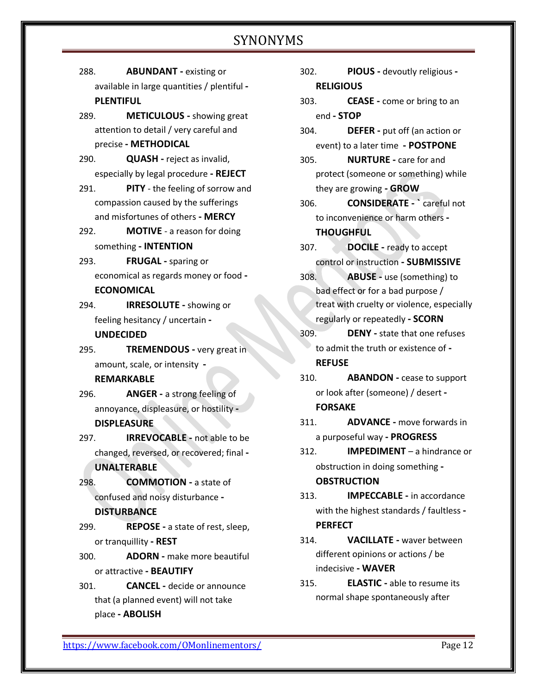288. **ABUNDANT -** existing or available in large quantities / plentiful **- PLENTIFUL**

- 289. **METICULOUS -** showing great attention to detail / very careful and precise **- METHODICAL**
- 290. **QUASH -** reject as invalid, especially by legal procedure **- REJECT**
- 291. **PITY**  the feeling of sorrow and compassion caused by the sufferings and misfortunes of others **- MERCY**
- 292. **MOTIVE**  a reason for doing something **- INTENTION**
- 293. **FRUGAL -** sparing or economical as regards money or food **- ECONOMICAL**
- 294. **IRRESOLUTE -** showing or feeling hesitancy / uncertain **-**

# **UNDECIDED**

295. **TREMENDOUS -** very great in amount, scale, or intensity **-**

#### **REMARKABLE**

- 296. **ANGER -** a strong feeling of annoyance, displeasure, or hostility **- DISPLEASURE**
- 297. **IRREVOCABLE -** not able to be changed, reversed, or recovered; final **- UNALTERABLE**
- 298. **COMMOTION -** a state of confused and noisy disturbance **-**

# **DISTURBANCE**

- 299. **REPOSE -** a state of rest, sleep, or tranquillity **- REST**
- 300. **ADORN -** make more beautiful or attractive **- BEAUTIFY**
- 301. **CANCEL -** decide or announce that (a planned event) will not take place **- ABOLISH**
- 302. **PIOUS -** devoutly religious **- RELIGIOUS**
- 303. **CEASE -** come or bring to an end **- STOP**
- 304. **DEFER -** put off (an action or event) to a later time **- POSTPONE**
- 305. **NURTURE -** care for and protect (someone or something) while they are growing **- GROW**
- 306. **CONSIDERATE - `** careful not to inconvenience or harm others **- THOUGHFUL**
- 307. **DOCILE -** ready to accept control or instruction **- SUBMISSIVE**
- 308. **ABUSE -** use (something) to bad effect or for a bad purpose / treat with cruelty or violence, especially regularly or repeatedly **- SCORN**
- 309. **DENY -** state that one refuses to admit the truth or existence of **- REFUSE**
- 310. **ABANDON -** cease to support or look after (someone) / desert **- FORSAKE**
- 311. **ADVANCE -** move forwards in a purposeful way **- PROGRESS**
- 312. **IMPEDIMENT**  a hindrance or obstruction in doing something **- OBSTRUCTION**
- 313. **IMPECCABLE -** in accordance with the highest standards / faultless **- PERFECT**
- 314. **VACILLATE -** waver between different opinions or actions / be indecisive **- WAVER**
- 315. **ELASTIC -** able to resume its normal shape spontaneously after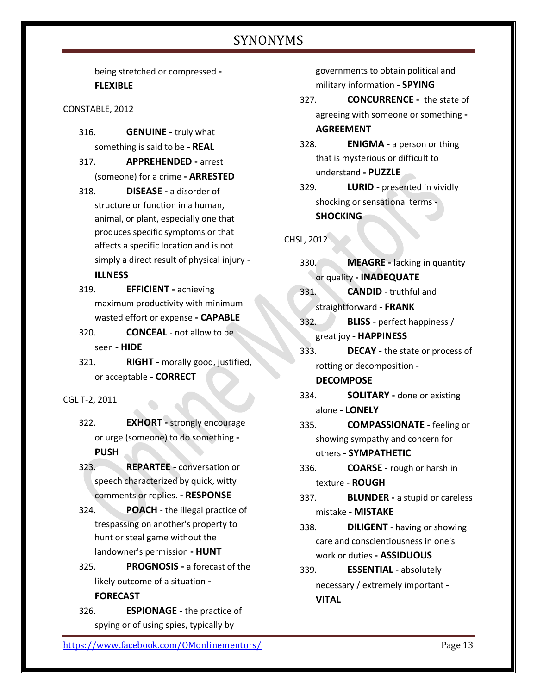being stretched or compressed **- FLEXIBLE**

CONSTABLE, 2012

- 316. **GENUINE -** truly what something is said to be **- REAL**
- 317. **APPREHENDED -** arrest (someone) for a crime **- ARRESTED**
- 318. **DISEASE -** a disorder of structure or function in a human, animal, or plant, especially one that produces specific symptoms or that affects a specific location and is not simply a direct result of physical injury **- ILLNESS**
- 319. **EFFICIENT -** achieving maximum productivity with minimum wasted effort or expense **- CAPABLE**
- 320. **CONCEAL**  not allow to be seen **- HIDE**
- 321. **RIGHT -** morally good, justified, or acceptable **- CORRECT**

#### CGL T-2, 2011

- 322. **EXHORT -** strongly encourage or urge (someone) to do something **- PUSH**
- 323. **REPARTEE -** conversation or speech characterized by quick, witty comments or replies. **- RESPONSE**
- 324. **POACH**  the illegal practice of trespassing on another's property to hunt or steal game without the landowner's permission **- HUNT**
- 325. **PROGNOSIS -** a forecast of the likely outcome of a situation **- FORECAST**
- 326. **ESPIONAGE -** the practice of spying or of using spies, typically by

governments to obtain political and military information **- SPYING**

- 327. **CONCURRENCE -** the state of agreeing with someone or something **- AGREEMENT**
- 328. **ENIGMA -** a person or thing that is mysterious or difficult to understand **- PUZZLE**
- 329. **LURID -** presented in vividly shocking or sensational terms **- SHOCKING**

CHSL, 2012

- 330. **MEAGRE -** lacking in quantity or quality **- INADEQUATE**
- 331. **CANDID**  truthful and straightforward **- FRANK**
- 332. **BLISS -** perfect happiness / great joy **- HAPPINESS**
- 333. **DECAY -** the state or process of rotting or decomposition **-**

#### **DECOMPOSE**

- 334. **SOLITARY -** done or existing alone **- LONELY**
- 335. **COMPASSIONATE -** feeling or showing sympathy and concern for others **- SYMPATHETIC**
- 336. **COARSE -** rough or harsh in texture **- ROUGH**
- 337. **BLUNDER -** a stupid or careless mistake **- MISTAKE**
- 338. **DILIGENT**  having or showing care and conscientiousness in one's work or duties **- ASSIDUOUS**
- 339. **ESSENTIAL -** absolutely necessary / extremely important **- VITAL**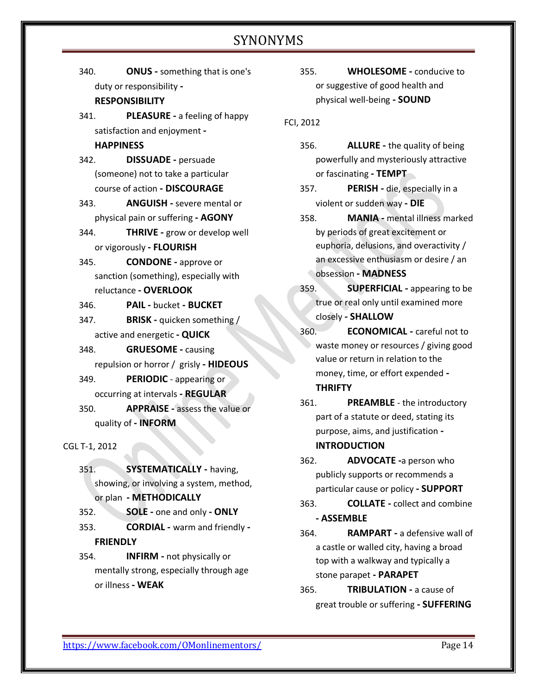340. **ONUS -** something that is one's duty or responsibility **-**

### **RESPONSIBILITY**

- 341. **PLEASURE -** a feeling of happy satisfaction and enjoyment **- HAPPINESS**
- 342. **DISSUADE -** persuade (someone) not to take a particular course of action **- DISCOURAGE**
- 343. **ANGUISH -** severe mental or physical pain or suffering **- AGONY**
- 344. **THRIVE -** grow or develop well or vigorously **- FLOURISH**
- 345. **CONDONE -** approve or sanction (something), especially with reluctance **- OVERLOOK**
- 346. **PAIL -** bucket **- BUCKET**
- 347. **BRISK -** quicken something / active and energetic **- QUICK**
- 348. **GRUESOME -** causing repulsion or horror / grisly **- HIDEOUS**
- 349. **PERIODIC**  appearing or occurring at intervals **- REGULAR**
- 350. **APPRAISE -** assess the value or quality of **- INFORM**

CGL T-1, 2012

- 351. **SYSTEMATICALLY -** having, showing, or involving a system, method, or plan **- METHODICALLY**
- 352. **SOLE -** one and only **- ONLY**
- 353. **CORDIAL -** warm and friendly **- FRIENDLY**
- 354. **INFIRM -** not physically or mentally strong, especially through age or illness **- WEAK**

355. **WHOLESOME -** conducive to or suggestive of good health and physical well-being **- SOUND**

FCI, 2012

- 356. **ALLURE -** the quality of being powerfully and mysteriously attractive or fascinating **- TEMPT**
- 357. **PERISH -** die, especially in a violent or sudden way **- DIE**
- 358. **MANIA -** mental illness marked by periods of great excitement or euphoria, delusions, and overactivity / an excessive enthusiasm or desire / an obsession **- MADNESS**
- 359. **SUPERFICIAL -** appearing to be true or real only until examined more closely **- SHALLOW**
- 360. **ECONOMICAL -** careful not to waste money or resources / giving good value or return in relation to the money, time, or effort expended **- THRIFTY**
- 361. **PREAMBLE**  the introductory part of a statute or deed, stating its purpose, aims, and justification **- INTRODUCTION**
- 362. **ADVOCATE -**a person who publicly supports or recommends a particular cause or policy **- SUPPORT**
- 363. **COLLATE -** collect and combine **- ASSEMBLE**
- 364. **RAMPART -** a defensive wall of a castle or walled city, having a broad top with a walkway and typically a stone parapet **- PARAPET**
- 365. **TRIBULATION -** a cause of great trouble or suffering **- SUFFERING**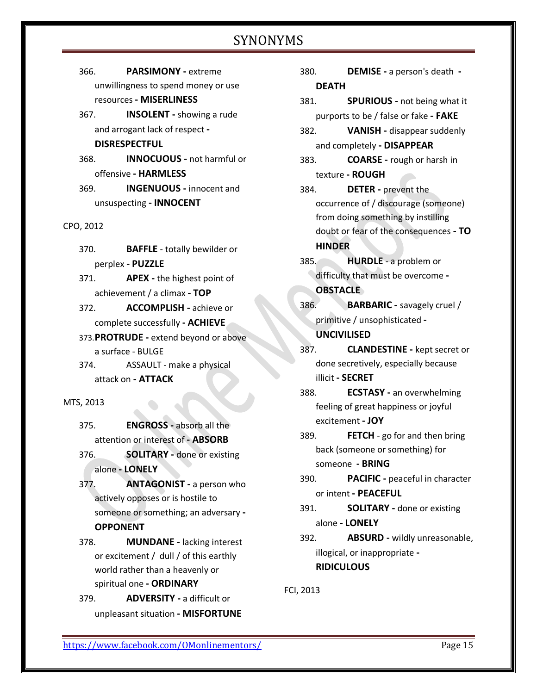366. **PARSIMONY -** extreme unwillingness to spend money or use resources **- MISERLINESS**

367. **INSOLENT -** showing a rude and arrogant lack of respect **- DISRESPECTFUL**

368. **INNOCUOUS -** not harmful or offensive **- HARMLESS**

369. **INGENUOUS -** innocent and unsuspecting **- INNOCENT** 

CPO, 2012

- 370. **BAFFLE**  totally bewilder or perplex **- PUZZLE**
- 371. **APEX -** the highest point of achievement / a climax **- TOP**
- 372. **ACCOMPLISH -** achieve or complete successfully **- ACHIEVE**

373.**PROTRUDE -** extend beyond or above a surface - BULGE

- 374. ASSAULT make a physical attack on **- ATTACK**
- MTS, 2013
	- 375. **ENGROSS -** absorb all the attention or interest of **- ABSORB**

376. **SOLITARY -** done or existing alone **- LONELY**

- 377. **ANTAGONIST -** a person who actively opposes or is hostile to someone or something; an adversary **- OPPONENT**
- 378. **MUNDANE -** lacking interest or excitement / dull / of this earthly world rather than a heavenly or spiritual one **- ORDINARY**
- 379. **ADVERSITY -** a difficult or unpleasant situation **- MISFORTUNE**
- 380. **DEMISE -** a person's death **- DEATH**
- 381. **SPURIOUS -** not being what it purports to be / false or fake **- FAKE**
- 382. **VANISH -** disappear suddenly and completely **- DISAPPEAR**
- 383. **COARSE -** rough or harsh in texture **- ROUGH**
- 384. **DETER -** prevent the occurrence of / discourage (someone) from doing something by instilling doubt or fear of the consequences **- TO HINDER**
- 385. **HURDLE**  a problem or difficulty that must be overcome **-**

#### **OBSTACLE**

- 386. **BARBARIC -** savagely cruel / primitive / unsophisticated **- UNCIVILISED**
- 387. **CLANDESTINE -** kept secret or done secretively, especially because illicit **- SECRET**
- 388. **ECSTASY -** an overwhelming feeling of great happiness or joyful excitement **- JOY**
- 389. **FETCH**  go for and then bring back (someone or something) for someone **- BRING**
- 390. **PACIFIC -** peaceful in character or intent **- PEACEFUL**
- 391. **SOLITARY -** done or existing alone **- LONELY**
- 392. **ABSURD -** wildly unreasonable, illogical, or inappropriate **- RIDICULOUS**

FCI, 2013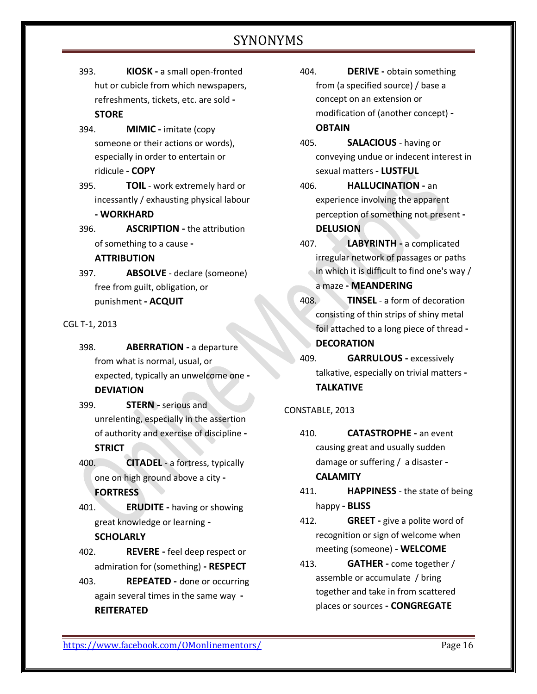- 393. **KIOSK -** a small open-fronted hut or cubicle from which newspapers, refreshments, tickets, etc. are sold **- STORE**
- 394. **MIMIC -** imitate (copy someone or their actions or words), especially in order to entertain or ridicule **- COPY**

395. **TOIL** - work extremely hard or incessantly / exhausting physical labour **- WORKHARD**

396. **ASCRIPTION -** the attribution of something to a cause **-**

### **ATTRIBUTION**

397. **ABSOLVE** - declare (someone) free from guilt, obligation, or punishment **- ACQUIT**

#### CGL T-1, 2013

398. **ABERRATION -** a departure from what is normal, usual, or expected, typically an unwelcome one **- DEVIATION**

- 399. **STERN -** serious and unrelenting, especially in the assertion of authority and exercise of discipline **- STRICT**
- 400. **CITADEL**  a fortress, typically one on high ground above a city **- FORTRESS**
- 401. **ERUDITE -** having or showing great knowledge or learning **-**

### **SCHOLARLY**

- 402. **REVERE -** feel deep respect or admiration for (something) **- RESPECT**
- 403. **REPEATED -** done or occurring again several times in the same way **- REITERATED**
- 404. **DERIVE -** obtain something from (a specified source) / base a concept on an extension or modification of (another concept) **- OBTAIN**
- 405. **SALACIOUS**  having or conveying undue or indecent interest in sexual matters **- LUSTFUL**
- 406. **HALLUCINATION -** an experience involving the apparent perception of something not present **- DELUSION**
- 407. **LABYRINTH -** a complicated irregular network of passages or paths in which it is difficult to find one's way /

## a maze **- MEANDERING**

- 408. **TINSEL**  a form of decoration consisting of thin strips of shiny metal foil attached to a long piece of thread **- DECORATION**
- 409. **GARRULOUS -** excessively talkative, especially on trivial matters **- TALKATIVE**

# CONSTABLE, 2013

- 410. **CATASTROPHE -** an event causing great and usually sudden damage or suffering / a disaster **- CALAMITY**
- 411. **HAPPINESS**  the state of being happy **- BLISS**
- 412. **GREET -** give a polite word of recognition or sign of welcome when meeting (someone) **- WELCOME**
- 413. **GATHER -** come together / assemble or accumulate / bring together and take in from scattered places or sources **- CONGREGATE**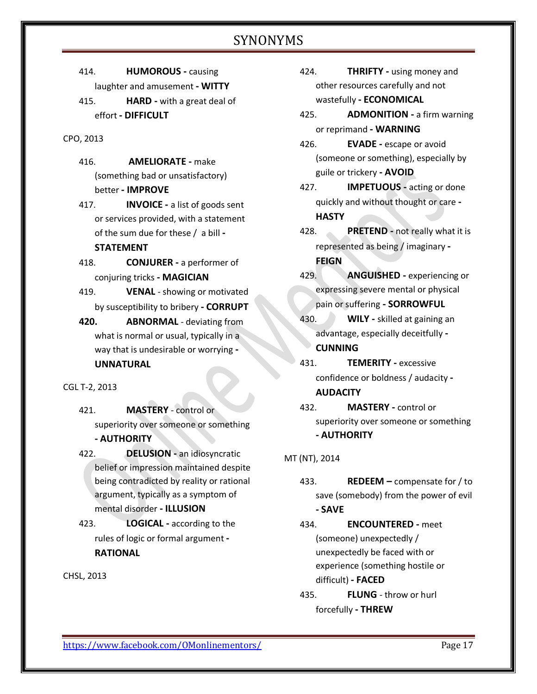- 414. **HUMOROUS -** causing laughter and amusement **- WITTY**
- 415. **HARD -** with a great deal of effort **- DIFFICULT**

#### CPO, 2013

- 416. **AMELIORATE -** make (something bad or unsatisfactory) better **- IMPROVE**
- 417. **INVOICE -** a list of goods sent or services provided, with a statement of the sum due for these / a bill **-**

# **STATEMENT**

- 418. **CONJURER -** a performer of conjuring tricks **- MAGICIAN**
- 419. **VENAL**  showing or motivated by susceptibility to bribery **- CORRUPT**
- **420. ABNORMAL**  deviating from what is normal or usual, typically in a way that is undesirable or worrying **- UNNATURAL**

CGL T-2, 2013

- 421. **MASTERY**  control or superiority over someone or something **- AUTHORITY**
- 422. **DELUSION -** an idiosyncratic belief or impression maintained despite being contradicted by reality or rational argument, typically as a symptom of mental disorder **- ILLUSION**
- 423. **LOGICAL -** according to the rules of logic or formal argument **- RATIONAL**

CHSL, 2013

- 424. **THRIFTY -** using money and other resources carefully and not wastefully **- ECONOMICAL**
- 425. **ADMONITION -** a firm warning or reprimand **- WARNING**
- 426. **EVADE -** escape or avoid (someone or something), especially by guile or trickery **- AVOID**
- 427. **IMPETUOUS -** acting or done quickly and without thought or care **- HASTY**
- 428. **PRETEND -** not really what it is represented as being / imaginary **- FEIGN**
- 429. **ANGUISHED -** experiencing or expressing severe mental or physical pain or suffering **- SORROWFUL**
- 430. **WILY -** skilled at gaining an advantage, especially deceitfully **- CUNNING**
- 431. **TEMERITY -** excessive confidence or boldness / audacity **- AUDACITY**
- 432. **MASTERY -** control or superiority over someone or something **- AUTHORITY**

MT (NT), 2014

- 433. **REDEEM –** compensate for / to save (somebody) from the power of evil **- SAVE**
- 434. **ENCOUNTERED -** meet (someone) unexpectedly / unexpectedly be faced with or experience (something hostile or difficult) **- FACED**
- 435. **FLUNG**  throw or hurl forcefully **- THREW**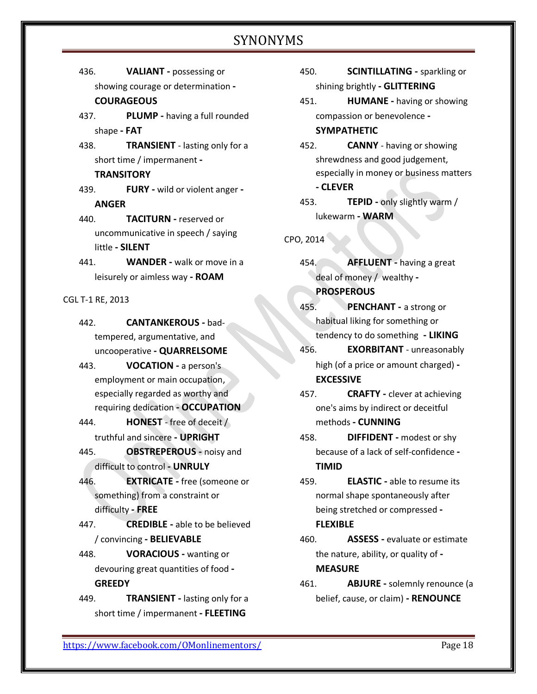- 436. **VALIANT -** possessing or showing courage or determination **- COURAGEOUS**
- 437. **PLUMP -** having a full rounded shape **- FAT**
- 438. **TRANSIENT**  lasting only for a short time / impermanent **-**

# **TRANSITORY**

- 439. **FURY -** wild or violent anger **- ANGER**
- 440. **TACITURN -** reserved or uncommunicative in speech / saying little **- SILENT**
- 441. **WANDER -** walk or move in a leisurely or aimless way **- ROAM**

CGL T-1 RE, 2013

- 442. **CANTANKEROUS -** badtempered, argumentative, and uncooperative **- QUARRELSOME**
- 443. **VOCATION -** a person's employment or main occupation, especially regarded as worthy and requiring dedication **- OCCUPATION**
- 444. **HONEST**  free of deceit / truthful and sincere **- UPRIGHT**
- 445. **OBSTREPEROUS -** noisy and difficult to control **- UNRULY**
- 446. **EXTRICATE -** free (someone or something) from a constraint or difficulty **- FREE**
- 447. **CREDIBLE -** able to be believed / convincing **- BELIEVABLE**
- 448. **VORACIOUS -** wanting or devouring great quantities of food **- GREEDY**
- 449. **TRANSIENT -** lasting only for a short time / impermanent **- FLEETING**
- 450. **SCINTILLATING -** sparkling or shining brightly **- GLITTERING**
- 451. **HUMANE -** having or showing compassion or benevolence **- SYMPATHETIC**
- 452. **CANNY**  having or showing shrewdness and good judgement, especially in money or business matters **- CLEVER**
- 453. **TEPID -** only slightly warm / lukewarm **- WARM**

### CPO, 2014

- 454. **AFFLUENT -** having a great deal of money / wealthy **- PROSPEROUS**
- 455. **PENCHANT -** a strong or habitual liking for something or
- tendency to do something **- LIKING** 456. **EXORBITANT** - unreasonably
- high (of a price or amount charged) **- EXCESSIVE**
- 457. **CRAFTY -** clever at achieving one's aims by indirect or deceitful methods **- CUNNING**
- 458. **DIFFIDENT -** modest or shy because of a lack of self-confidence **- TIMID**
- 459. **ELASTIC -** able to resume its normal shape spontaneously after being stretched or compressed **- FLEXIBLE**
- 460. **ASSESS -** evaluate or estimate the nature, ability, or quality of **- MEASURE**
- 461. **ABJURE -** solemnly renounce (a belief, cause, or claim) **- RENOUNCE**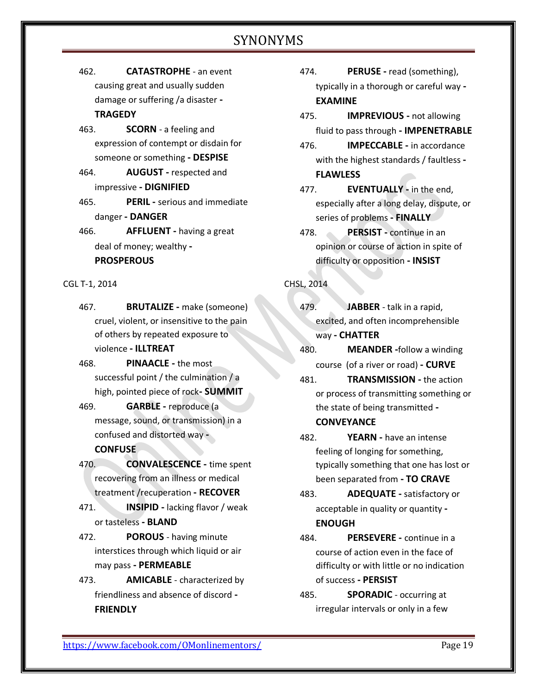- 462. **CATASTROPHE**  an event causing great and usually sudden damage or suffering /a disaster **- TRAGEDY**
- 463. **SCORN**  a feeling and expression of contempt or disdain for someone or something **- DESPISE**
- 464. **AUGUST -** respected and impressive **- DIGNIFIED**
- 465. **PERIL -** serious and immediate danger **- DANGER**
- 466. **AFFLUENT -** having a great deal of money; wealthy **- PROSPEROUS**
- CGL T-1, 2014
	- 467. **BRUTALIZE -** make (someone) cruel, violent, or insensitive to the pain of others by repeated exposure to violence **- ILLTREAT**
	- 468. **PINAACLE -** the most successful point / the culmination / a high, pointed piece of rock**- SUMMIT**
	- 469. **GARBLE -** reproduce (a message, sound, or transmission) in a confused and distorted way **-**

### **CONFUSE**

- 470. **CONVALESCENCE -** time spent recovering from an illness or medical treatment /recuperation **- RECOVER**
- 471. **INSIPID -** lacking flavor / weak or tasteless **- BLAND**
- 472. **POROUS**  having minute interstices through which liquid or air may pass **- PERMEABLE**
- 473. **AMICABLE**  characterized by friendliness and absence of discord **- FRIENDLY**
- 474. **PERUSE -** read (something), typically in a thorough or careful way **- EXAMINE**
- 475. **IMPREVIOUS -** not allowing fluid to pass through **- IMPENETRABLE**
- 476. **IMPECCABLE -** in accordance with the highest standards / faultless **- FLAWLESS**
- 477. **EVENTUALLY -** in the end, especially after a long delay, dispute, or series of problems **- FINALLY**
- 478. **PERSIST -** continue in an opinion or course of action in spite of difficulty or opposition **- INSIST**

### CHSL, 2014

- 479. **JABBER**  talk in a rapid, excited, and often incomprehensible way **- CHATTER**
- 480. **MEANDER -**follow a winding course (of a river or road) **- CURVE**
- 481. **TRANSMISSION -** the action or process of transmitting something or the state of being transmitted **-**

### **CONVEYANCE**

- 482. **YEARN -** have an intense feeling of longing for something, typically something that one has lost or been separated from **- TO CRAVE**
- 483. **ADEQUATE -** satisfactory or acceptable in quality or quantity **- ENOUGH**
- 484. **PERSEVERE -** continue in a course of action even in the face of difficulty or with little or no indication of success **- PERSIST**
- 485. **SPORADIC**  occurring at irregular intervals or only in a few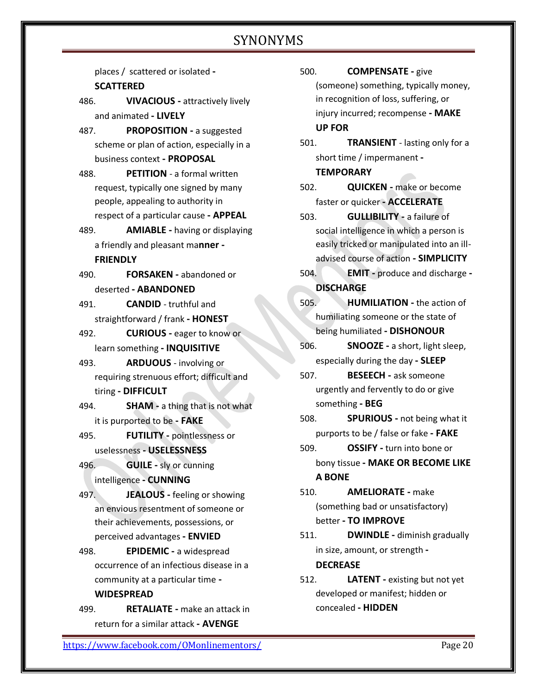places / scattered or isolated **- SCATTERED** 486. **VIVACIOUS -** attractively lively and animated **- LIVELY** 487. **PROPOSITION -** a suggested scheme or plan of action, especially in a business context **- PROPOSAL** 488. **PETITION** - a formal written request, typically one signed by many people, appealing to authority in respect of a particular cause **- APPEAL**  489. **AMIABLE -** having or displaying a friendly and pleasant ma**nner - FRIENDLY** 490. **FORSAKEN -** abandoned or deserted **- ABANDONED** 491. **CANDID** - truthful and straightforward / frank **- HONEST** 492. **CURIOUS -** eager to know or learn something **- INQUISITIVE** 493. **ARDUOUS** - involving or requiring strenuous effort; difficult and tiring **- DIFFICULT** 494. **SHAM -** a thing that is not what it is purported to be **- FAKE** 495. **FUTILITY -** pointlessness or uselessness **- USELESSNESS** 496. **GUILE -** sly or cunning intelligence **- CUNNING** 497. **JEALOUS -** feeling or showing an envious resentment of someone or their achievements, possessions, or perceived advantages **- ENVIED** 498. **EPIDEMIC -** a widespread occurrence of an infectious disease in a community at a particular time **- WIDESPREAD** 499. **RETALIATE -** make an attack in return for a similar attack **- AVENGE**

500. **COMPENSATE -** give (someone) something, typically money, in recognition of loss, suffering, or injury incurred; recompense **- MAKE UP FOR**

501. **TRANSIENT** - lasting only for a short time / impermanent **- TEMPORARY**

502. **QUICKEN -** make or become faster or quicker **- ACCELERATE**

503. **GULLIBILITY -** a failure of social intelligence in which a person is easily tricked or manipulated into an illadvised course of action **- SIMPLICITY**

504. **EMIT -** produce and discharge **- DISCHARGE**

505. **HUMILIATION -** the action of humiliating someone or the state of being humiliated **- DISHONOUR**

506. **SNOOZE -** a short, light sleep, especially during the day **- SLEEP**

507. **BESEECH -** ask someone urgently and fervently to do or give something **- BEG**

508. **SPURIOUS -** not being what it purports to be / false or fake **- FAKE**

509. **OSSIFY -** turn into bone or bony tissue **- MAKE OR BECOME LIKE A BONE**

510. **AMELIORATE -** make (something bad or unsatisfactory) better **- TO IMPROVE**

511. **DWINDLE -** diminish gradually in size, amount, or strength **- DECREASE**

512. **LATENT -** existing but not yet developed or manifest; hidden or concealed **- HIDDEN**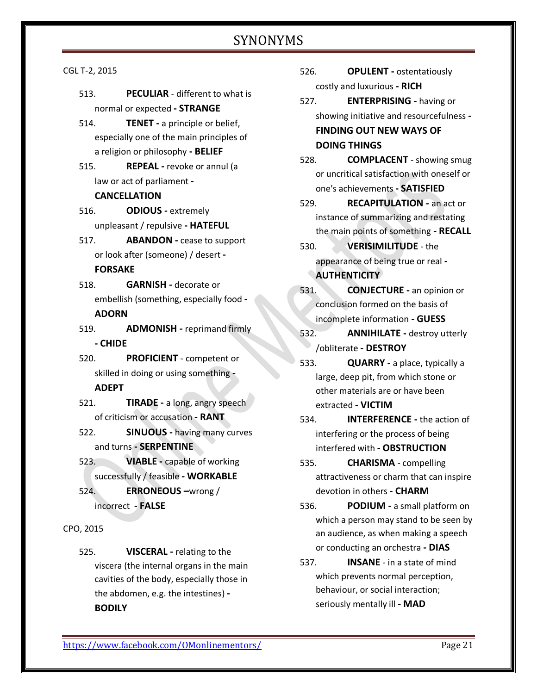#### CGL T-2, 2015

- 513. **PECULIAR**  different to what is normal or expected **- STRANGE**
- 514. **TENET -** a principle or belief, especially one of the main principles of a religion or philosophy **- BELIEF**
- 515. **REPEAL -** revoke or annul (a law or act of parliament **-**

#### **CANCELLATION**

- 516. **ODIOUS -** extremely unpleasant / repulsive **- HATEFUL**
- 517. **ABANDON -** cease to support or look after (someone) / desert **- FORSAKE**

# 518. **GARNISH -** decorate or

- embellish (something, especially food **- ADORN**
- 519. **ADMONISH -** reprimand firmly **- CHIDE**
- 520. **PROFICIENT**  competent or skilled in doing or using something **- ADEPT**
- 521. **TIRADE -** a long, angry speech of criticism or accusation **- RANT**
- 522. **SINUOUS -** having many curves and turns **- SERPENTINE**
- 523. **VIABLE -** capable of working successfully / feasible **- WORKABLE**
- 524. **ERRONEOUS –**wrong / incorrect **- FALSE**

#### CPO, 2015

525. **VISCERAL -** relating to the viscera (the internal organs in the main cavities of the body, especially those in the abdomen, e.g. the intestines) **- BODILY**

- 526. **OPULENT -** ostentatiously costly and luxurious **- RICH**
- 527. **ENTERPRISING -** having or showing initiative and resourcefulness **- FINDING OUT NEW WAYS OF**

### **DOING THINGS**

- 528. **COMPLACENT**  showing smug or uncritical satisfaction with oneself or one's achievements **- SATISFIED**
- 529. **RECAPITULATION -** an act or instance of summarizing and restating the main points of something **- RECALL**
- 530. **VERISIMILITUDE**  the appearance of being true or real **- AUTHENTICITY**
- 531. **CONJECTURE -** an opinion or conclusion formed on the basis of incomplete information **- GUESS**
- 532. **ANNIHILATE -** destroy utterly /obliterate **- DESTROY**
- 533. **QUARRY -** a place, typically a large, deep pit, from which stone or other materials are or have been extracted **- VICTIM**
- 534. **INTERFERENCE -** the action of interfering or the process of being interfered with **- OBSTRUCTION**
- 535. **CHARISMA**  compelling attractiveness or charm that can inspire devotion in others **- CHARM**
- 536. **PODIUM -** a small platform on which a person may stand to be seen by an audience, as when making a speech or conducting an orchestra **- DIAS**
- 537. **INSANE**  in a state of mind which prevents normal perception, behaviour, or social interaction; seriously mentally ill **- MAD**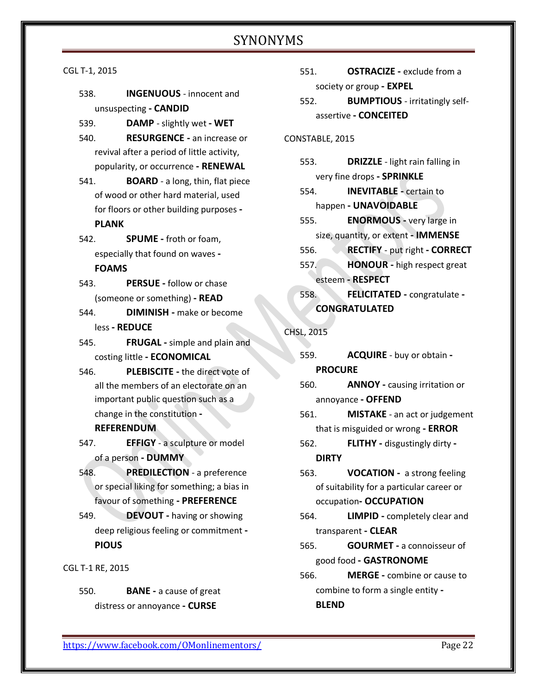#### CGL T-1, 2015

- 538. **INGENUOUS**  innocent and unsuspecting **- CANDID**
- 539. **DAMP**  slightly wet **- WET**
- 540. **RESURGENCE -** an increase or revival after a period of little activity, popularity, or occurrence **- RENEWAL**
- 541. **BOARD**  a long, thin, flat piece of wood or other hard material, used for floors or other building purposes **- PLANK**
- 542. **SPUME -** froth or foam, especially that found on waves **-**

#### **FOAMS**

- 543. **PERSUE -** follow or chase (someone or something) **- READ**
- 544. **DIMINISH -** make or become less **- REDUCE**
- 545. **FRUGAL -** simple and plain and costing little **- ECONOMICAL**
- 546. **PLEBISCITE -** the direct vote of all the members of an electorate on an important public question such as a change in the constitution **-**
	- **REFERENDUM**
- 547. **EFFIGY**  a sculpture or model of a person **- DUMMY**
- 548. **PREDILECTION**  a preference or special liking for something; a bias in favour of something **- PREFERENCE**
- 549. **DEVOUT -** having or showing deep religious feeling or commitment **- PIOUS**
- CGL T-1 RE, 2015
	- 550. **BANE -** a cause of great distress or annoyance **- CURSE**
- 551. **OSTRACIZE -** exclude from a society or group **- EXPEL**
- 552. **BUMPTIOUS**  irritatingly selfassertive **- CONCEITED**

#### CONSTABLE, 2015

- 553. **DRIZZLE**  light rain falling in very fine drops **- SPRINKLE**
- 554. **INEVITABLE -** certain to happen **- UNAVOIDABLE**
- 555. **ENORMOUS -** very large in size, quantity, or extent **- IMMENSE**
- 556. **RECTIFY**  put right **- CORRECT**
- 557. **HONOUR -** high respect great esteem **- RESPECT**
- 558. **FELICITATED -** congratulate **- CONGRATULATED**

#### CHSL, 2015

559. **ACQUIRE** - buy or obtain **-**

#### **PROCURE**

- 560. **ANNOY -** causing irritation or annoyance **- OFFEND**
- 561. **MISTAKE**  an act or judgement that is misguided or wrong **- ERROR**
- 562. **FLITHY -** disgustingly dirty **- DIRTY**
- 563. **VOCATION** a strong feeling of suitability for a particular career or occupation**- OCCUPATION**
- 564. **LIMPID -** completely clear and transparent **- CLEAR**
- 565. **GOURMET -** a connoisseur of good food **- GASTRONOME**
- 566. **MERGE -** combine or cause to combine to form a single entity **- BLEND**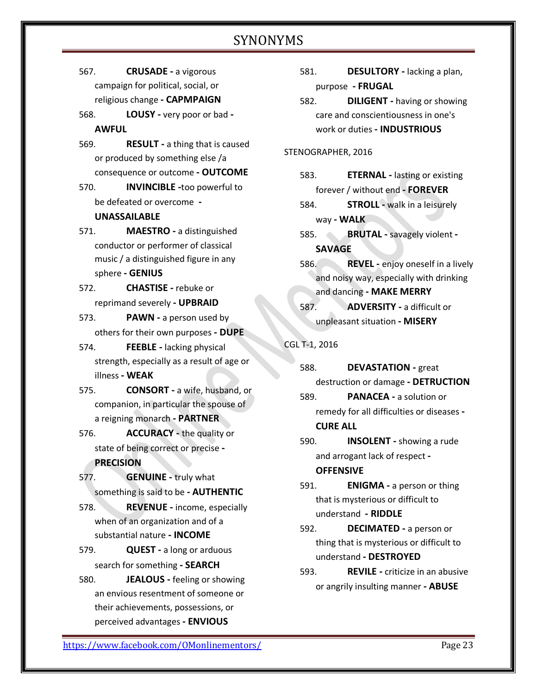- 567. **CRUSADE -** a vigorous campaign for political, social, or religious change **- CAPMPAIGN**
- 568. **LOUSY -** very poor or bad **- AWFUL**
- 569. **RESULT -** a thing that is caused or produced by something else /a consequence or outcome **- OUTCOME**
- 570. **INVINCIBLE -**too powerful to be defeated or overcome **- UNASSAILABLE**
- 571. **MAESTRO -** a distinguished conductor or performer of classical music / a distinguished figure in any sphere **- GENIUS**
- 572. **CHASTISE -** rebuke or reprimand severely **- UPBRAID**
- 573. **PAWN -** a person used by others for their own purposes **- DUPE**
- 574. **FEEBLE -** lacking physical strength, especially as a result of age or illness **- WEAK**
- 575. **CONSORT -** a wife, husband, or companion, in particular the spouse of a reigning monarch **- PARTNER**
- 576. **ACCURACY -** the quality or state of being correct or precise **- PRECISION**
- 577. **GENUINE -** truly what something is said to be **- AUTHENTIC**
- 578. **REVENUE -** income, especially when of an organization and of a substantial nature **- INCOME**
- 579. **QUEST -** a long or arduous search for something **- SEARCH**
- 580. **JEALOUS -** feeling or showing an envious resentment of someone or their achievements, possessions, or perceived advantages **- ENVIOUS**
- 581. **DESULTORY -** lacking a plan, purpose **- FRUGAL**
- 582. **DILIGENT -** having or showing care and conscientiousness in one's work or duties **- INDUSTRIOUS**

#### STENOGRAPHER, 2016

- 583. **ETERNAL -** lasting or existing forever / without end **- FOREVER**
- 584. **STROLL -** walk in a leisurely way **- WALK**
- 585. **BRUTAL -** savagely violent **- SAVAGE**
- 586. **REVEL -** enjoy oneself in a lively and noisy way, especially with drinking and dancing **- MAKE MERRY**
- 587. **ADVERSITY -** a difficult or unpleasant situation **- MISERY**

# CGL T-1, 2016

- 588. **DEVASTATION -** great destruction or damage **- DETRUCTION**
- 589. **PANACEA -** a solution or remedy for all difficulties or diseases **- CURE ALL**
- 590. **INSOLENT -** showing a rude and arrogant lack of respect **- OFFENSIVE**
- 591. **ENIGMA -** a person or thing that is mysterious or difficult to understand **- RIDDLE**
- 592. **DECIMATED -** a person or thing that is mysterious or difficult to understand **- DESTROYED**
- 593. **REVILE -** criticize in an abusive or angrily insulting manner **- ABUSE**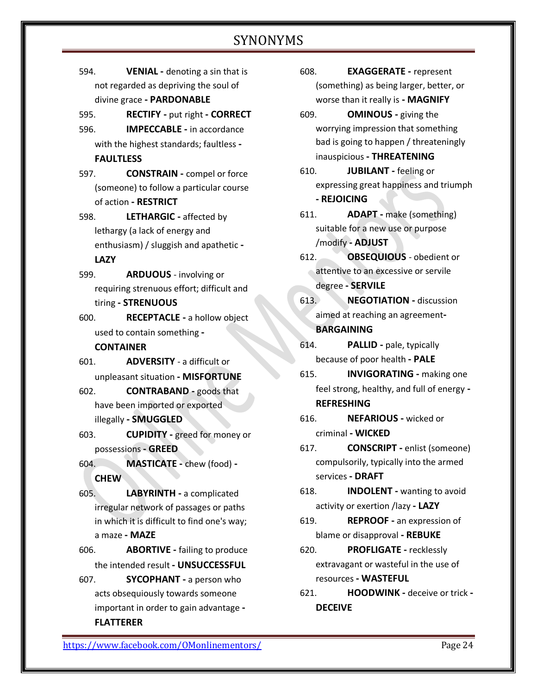- 594. **VENIAL -** denoting a sin that is not regarded as depriving the soul of divine grace **- PARDONABLE**
- 595. **RECTIFY -** put right **- CORRECT**
- 596. **IMPECCABLE -** in accordance with the highest standards; faultless **- FAULTLESS**
- 597. **CONSTRAIN -** compel or force (someone) to follow a particular course of action **- RESTRICT**
- 598. **LETHARGIC -** affected by lethargy (a lack of energy and enthusiasm) / sluggish and apathetic **- LAZY**
- 599. **ARDUOUS**  involving or requiring strenuous effort; difficult and tiring **- STRENUOUS**
- 600. **RECEPTACLE -** a hollow object used to contain something **- CONTAINER**
- 601. **ADVERSITY**  a difficult or unpleasant situation **- MISFORTUNE**
- 602. **CONTRABAND -** goods that have been imported or exported illegally **- SMUGGLED**
- 603. **CUPIDITY -** greed for money or possessions **- GREED**
- 604. **MASTICATE -** chew (food) **- CHEW**
- 605. **LABYRINTH -** a complicated irregular network of passages or paths in which it is difficult to find one's way; a maze **- MAZE**
- 606. **ABORTIVE -** failing to produce the intended result **- UNSUCCESSFUL**
- 607. **SYCOPHANT -** a person who acts obsequiously towards someone important in order to gain advantage **- FLATTERER**
- 608. **EXAGGERATE -** represent (something) as being larger, better, or worse than it really is **- MAGNIFY**
- 609. **OMINOUS -** giving the worrying impression that something bad is going to happen / threateningly inauspicious **- THREATENING**
- 610. **JUBILANT -** feeling or expressing great happiness and triumph **- REJOICING**
- 611. **ADAPT -** make (something) suitable for a new use or purpose /modify **- ADJUST**
- 612. **OBSEQUIOUS**  obedient or attentive to an excessive or servile degree **- SERVILE**
- 613. **NEGOTIATION -** discussion aimed at reaching an agreement**-BARGAINING**
- 614. **PALLID -** pale, typically because of poor health **- PALE**
- 615. **INVIGORATING -** making one feel strong, healthy, and full of energy **- REFRESHING**
- 616. **NEFARIOUS -** wicked or criminal **- WICKED**
- 617. **CONSCRIPT -** enlist (someone) compulsorily, typically into the armed services **- DRAFT**
- 618. **INDOLENT -** wanting to avoid activity or exertion /lazy **- LAZY**
- 619. **REPROOF -** an expression of blame or disapproval **- REBUKE**
- 620. **PROFLIGATE -** recklessly extravagant or wasteful in the use of resources **- WASTEFUL**
- 621. **HOODWINK -** deceive or trick **- DECEIVE**